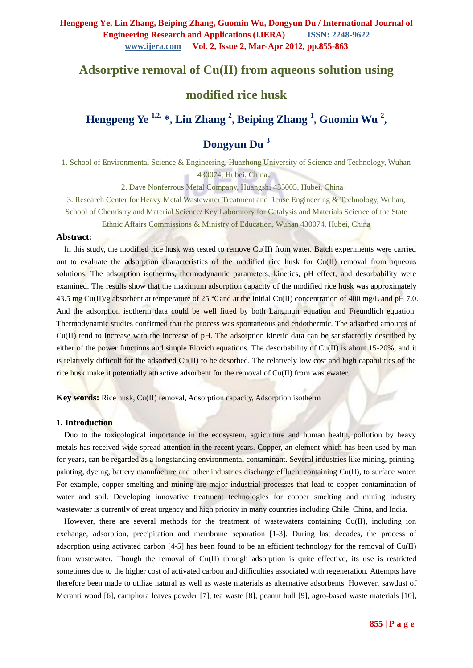# **Adsorptive removal of Cu(II) from aqueous solution using**

# **modified rice husk**

**Hengpeng Ye 1,2, \*, Lin Zhang <sup>2</sup> , Beiping Zhang <sup>1</sup> , Guomin Wu <sup>2</sup> ,** 

# **Dongyun Du <sup>3</sup>**

1. School of Environmental Science & Engineering, Huazhong University of Science and Technology, Wuhan 430074, Hubei, China;

2. Daye Nonferrous Metal Company, Huangshi 435005, Hubei, China;

3. Research Center for Heavy Metal Wastewater Treatment and Reuse Engineering & Technology, Wuhan, School of Chemistry and Material Science/ Key Laboratory for Catalysis and Materials Science of the State

Ethnic Affairs Commissions & Ministry of Education, Wuhan 430074, Hubei, China

#### **Abstract:**

In this study, the modified rice husk was tested to remove Cu(II) from water. Batch experiments were carried out to evaluate the adsorption characteristics of the modified rice husk for  $Cu(II)$  removal from aqueous solutions. The adsorption isotherms, thermodynamic parameters, kinetics, pH effect, and desorbability were examined. The results show that the maximum adsorption capacity of the modified rice husk was approximately 43.5 mg Cu(II)/g absorbent at temperature of 25 °C and at the initial Cu(II) concentration of 400 mg/L and pH 7.0. And the adsorption isotherm data could be well fitted by both Langmuir equation and Freundlich equation. Thermodynamic studies confirmed that the process was spontaneous and endothermic. The adsorbed amounts of Cu(II) tend to increase with the increase of pH. The adsorption kinetic data can be satisfactorily described by either of the power functions and simple Elovich equations. The desorbability of  $Cu(II)$  is about 15-20%, and it is relatively difficult for the adsorbed  $Cu(II)$  to be desorbed. The relatively low cost and high capabilities of the rice husk make it potentially attractive adsorbent for the removal of Cu(II) from wastewater.

**Key words:** Rice husk, Cu(II) removal, Adsorption capacity, Adsorption isotherm

#### **1. Introduction**

Duo to the toxicological importance in the ecosystem, agriculture and human health, pollution by heavy metals has received wide spread attention in the recent years. Copper, an element which has been used by man for years, can be regarded as a longstanding environmental contaminant. Several industries like mining, printing, painting, dyeing, battery manufacture and other industries discharge effluent containing Cu(II), to surface water. For example, copper smelting and mining are major industrial processes that lead to copper contamination of water and soil. Developing innovative treatment technologies for copper smelting and mining industry wastewater is currently of great urgency and high priority in many countries including Chile, China, and India.

However, there are several methods for the treatment of wastewaters containing Cu(II), including ion exchange, adsorption, precipitation and membrane separation [1-3]. During last decades, the process of adsorption using activated carbon [4-5] has been found to be an efficient technology for the removal of Cu(II) from wastewater. Though the removal of Cu(II) through adsorption is quite effective, its use is restricted sometimes due to the higher cost of activated carbon and difficulties associated with regeneration. Attempts have therefore been made to utilize natural as well as waste materials as alternative adsorbents. However, sawdust of Meranti wood [6], camphora leaves powder [7], tea waste [8], peanut hull [9], agro-based waste materials [10],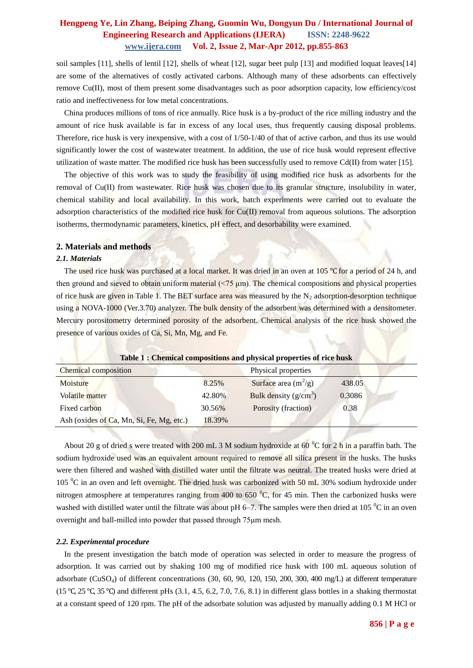soil samples [11], shells of lentil [12], shells of wheat [12], sugar beet pulp [13] and modified loquat leaves[14] are some of the alternatives of costly activated carbons. Although many of these adsorbents can effectively remove Cu(II), most of them present some disadvantages such as poor adsorption capacity, low efficiency/cost ratio and ineffectiveness for low metal concentrations.

China produces millions of tons of rice annually. Rice husk is a by-product of the rice milling industry and the amount of rice husk available is far in excess of any local uses, thus frequently causing disposal problems. Therefore, rice husk is very inexpensive, with a cost of 1/50-1/40 of that of active carbon, and thus its use would significantly lower the cost of wastewater treatment. In addition, the use of rice husk would represent effective utilization of waste matter. The modified rice husk has been successfully used to remove  $Cd(II)$  from water [15].

The objective of this work was to study the feasibility of using modified rice husk as adsorbents for the removal of Cu(II) from wastewater. Rice husk was chosen due to its granular structure, insolubility in water, chemical stability and local availability. In this work, batch experiments were carried out to evaluate the adsorption characteristics of the modified rice husk for Cu(II) removal from aqueous solutions. The adsorption isotherms, thermodynamic parameters, kinetics, pH effect, and desorbability were examined.

### **2. Materials and methods**

#### *2.1. Materials*

The used rice husk was purchased at a local market. It was dried in an oven at 105 ℃ for a period of 24 h, and then ground and sieved to obtain uniform material  $(\leq 75 \text{ µm})$ . The chemical compositions and physical properties of rice husk are given in Table 1. The BET surface area was measured by the  $N_2$  adsorption-desorption technique using a NOVA-1000 (Ver.3.70) analyzer. The bulk density of the adsorbent was determined with a densitometer. Mercury porositometry determined porosity of the adsorbent. Chemical analysis of the rice husk showed the presence of various oxides of Ca, Si, Mn, Mg, and Fe.

|                                          |        | Table 1: Chemical compositions and physical properties of rice mask |        |  |
|------------------------------------------|--------|---------------------------------------------------------------------|--------|--|
| Chemical composition                     |        | Physical properties                                                 |        |  |
| Moisture                                 | 8.25%  | Surface area $(m^2/g)$                                              | 438.05 |  |
| <b>Volatile matter</b>                   | 42.80% | Bulk density $(g/cm^3)$                                             | 0.3086 |  |
| Fixed carbon                             | 30.56% | Porosity (fraction)                                                 | 0.38   |  |
| Ash (oxides of Ca, Mn, Si, Fe, Mg, etc.) | 18.39% |                                                                     |        |  |

**Table 1 : Chemical compositions and physical properties of rice husk**

About 20 g of dried s were treated with 200 mL 3 M sodium hydroxide at 60  $^{\circ}$ C for 2 h in a paraffin bath. The sodium hydroxide used was an equivalent amount required to remove all silica present in the husks. The husks were then filtered and washed with distilled water until the filtrate was neutral. The treated husks were dried at 105 <sup>o</sup>C in an oven and left overnight. The dried husk was carbonized with 50 mL 30% sodium hydroxide under nitrogen atmosphere at temperatures ranging from 400 to 650 $\degree$ C, for 45 min. Then the carbonized husks were washed with distilled water until the filtrate was about pH  $6-7$ . The samples were then dried at 105  $^{\circ}$ C in an oven overnight and ball-milled into powder that passed through 75μm mesh.

### *2.2. Experimental procedure*

In the present investigation the batch mode of operation was selected in order to measure the progress of adsorption. It was carried out by shaking 100 mg of modified rice husk with 100 mL aqueous solution of adsorbate (CuSO4) of different concentrations (30, 60, 90, 120, 150, 200, 300, 400 mg/L) at different temperature (15 °C, 25 °C, 35 °C) and different pHs (3.1, 4.5, 6.2, 7.0, 7.6, 8.1) in different glass bottles in a shaking thermostat at a constant speed of 120 rpm. The pH of the adsorbate solution was adjusted by manually adding 0.1 M HCl or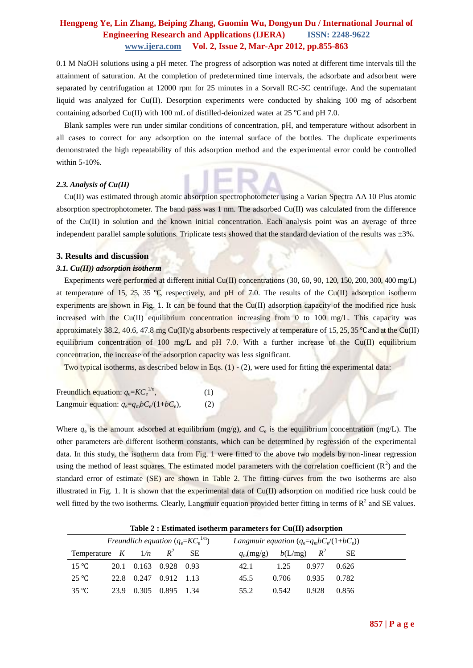0.1 M NaOH solutions using a pH meter. The progress of adsorption was noted at different time intervals till the attainment of saturation. At the completion of predetermined time intervals, the adsorbate and adsorbent were separated by centrifugation at 12000 rpm for 25 minutes in a Sorvall RC-5C centrifuge. And the supernatant liquid was analyzed for Cu(II). Desorption experiments were conducted by shaking 100 mg of adsorbent containing adsorbed Cu(II) with 100 mL of distilled-deionized water at 25 °C and pH 7.0.

Blank samples were run under similar conditions of concentration, pH, and temperature without adsorbent in all cases to correct for any adsorption on the internal surface of the bottles. The duplicate experiments demonstrated the high repeatability of this adsorption method and the experimental error could be controlled within 5-10%.

#### *2.3. Analysis of Cu(II)*

Cu(II) was estimated through atomic absorption spectrophotometer using a Varian Spectra AA 10 Plus atomic absorption spectrophotometer. The band pass was 1 nm. The adsorbed Cu(II) was calculated from the difference of the Cu(II) in solution and the known initial concentration. Each analysis point was an average of three independent parallel sample solutions. Triplicate tests showed that the standard deviation of the results was  $\pm 3\%$ .

#### **3. Results and discussion**

#### *3.1. Cu(II)) adsorption isotherm*

Experiments were performed at different initial Cu(II) concentrations (30, 60, 90, 120, 150, 200, 300, 400 mg/L) at temperature of 15, 25, 35 °C, respectively, and pH of 7.0. The results of the Cu(II) adsorption isotherm experiments are shown in Fig. 1. It can be found that the Cu(II) adsorption capacity of the modified rice husk increased with the Cu(II) equilibrium concentration increasing from 0 to 100 mg/L. This capacity was approximately 38.2, 40.6, 47.8 mg Cu(II)/g absorbents respectively at temperature of 15, 25, 35 °C and at the Cu(II) equilibrium concentration of 100 mg/L and pH 7.0. With a further increase of the Cu(II) equilibrium concentration, the increase of the adsorption capacity was less significant.

Two typical isotherms, as described below in Eqs.  $(1)$  -  $(2)$ , were used for fitting the experimental data:

| Freundlich equation: $q_e = KC_e^{1/n}$ ,         | (1) |
|---------------------------------------------------|-----|
| Langmuir equation: $q_e = q_m b C_e/(1 + bC_e)$ , | (2) |

Where  $q_e$  is the amount adsorbed at equilibrium (mg/g), and  $C_e$  is the equilibrium concentration (mg/L). The other parameters are different isotherm constants, which can be determined by regression of the experimental data. In this study, the isotherm data from Fig. 1 were fitted to the above two models by non-linear regression using the method of least squares. The estimated model parameters with the correlation coefficient  $(R^2)$  and the standard error of estimate (SE) are shown in Table 2. The fitting curves from the two isotherms are also illustrated in Fig. 1. It is shown that the experimental data of Cu(II) adsorption on modified rice husk could be well fitted by the two isotherms. Clearly, Langmuir equation provided better fitting in terms of  $R^2$  and SE values.

| Table 2 : Estimated isotherm parameters for Cu(II) adsorption |      |       |                       |           |                                              |  |  |
|---------------------------------------------------------------|------|-------|-----------------------|-----------|----------------------------------------------|--|--|
| Freundlich equation $(q_e=KC_e^{1/n})$                        |      |       |                       |           | Langmuir equation $(q_e=q_m b C_e/(1+bC_e))$ |  |  |
| Temperature $K = 1/n$                                         |      |       | $R^2$                 | <b>SE</b> | $q_m(mg/g)$ $b(L/mg)$ $R^2$<br><b>SE</b>     |  |  |
| $15^{\circ}C$                                                 |      |       | 20.1 0.163 0.928 0.93 |           | 1.25<br>0.977<br>42.1<br>0.626               |  |  |
| $25^{\circ}C$                                                 | 22.8 | 0.247 | 0.912 1.13            |           | 0.935<br>45.5<br>0.706<br>0.782              |  |  |
| 35 °C                                                         | 23.9 | 0.305 | 0.895 1.34            |           | 0.928<br>0.542<br>0.856<br>55.2              |  |  |

**Table 2 : Estimated isotherm parameters for Cu(II) adsorption**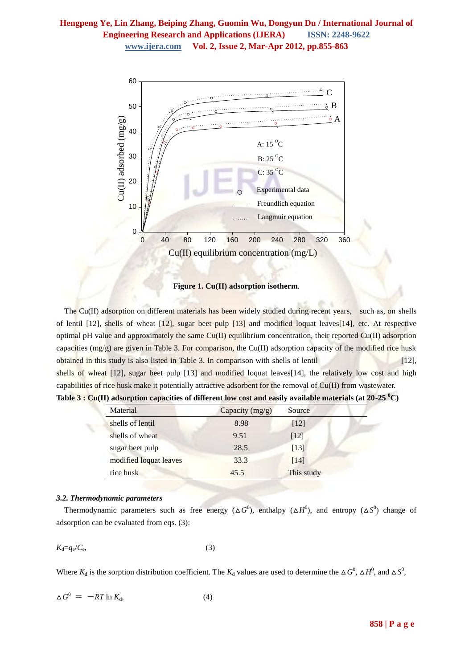

**Figure 1. Cu(II) adsorption isotherm**.

The Cu(II) adsorption on different materials has been widely studied during recent years, such as, on shells of lentil [12], shells of wheat [12], sugar beet pulp [13] and modified loquat leaves[14], etc. At respective optimal pH value and approximately the same Cu(II) equilibrium concentration, their reported Cu(II) adsorption capacities  $(mg/g)$  are given in Table 3. For comparison, the Cu(II) adsorption capacity of the modified rice husk obtained in this study is also listed in Table 3. In comparison with shells of lentil [12], shells of wheat [12], sugar beet pulp [13] and modified loquat leaves[14], the relatively low cost and high capabilities of rice husk make it potentially attractive adsorbent for the removal of Cu(II) from wastewater.

| Material               | Capacity (mg/g) | Source     |  |
|------------------------|-----------------|------------|--|
| shells of lentil       | 8.98            | $[12]$     |  |
| shells of wheat        | 9.51            | [12]       |  |
| sugar beet pulp        | 28.5            | [13]       |  |
| modified loquat leaves | 33.3            | [14]       |  |
| rice husk              | 45.5            | This study |  |

**Table 3 : Cu(II) adsorption capacities of different low cost and easily available materials (at 20-25 <sup>0</sup>C)**

## *3.2. Thermodynamic parameters*

Thermodynamic parameters such as free energy ( $\Delta G^0$ ), enthalpy ( $\Delta H^0$ ), and entropy ( $\Delta S^0$ ) change of adsorption can be evaluated from eqs. (3):

$$
K_{\rm d}=q_{\rm e}/C_{\rm e},\tag{3}
$$

Where  $K_d$  is the sorption distribution coefficient. The  $K_d$  values are used to determine the  $\Delta G^0$ ,  $\Delta H^0$ , and  $\Delta S^0$ ,

$$
\Delta G^0 = -RT \ln K_d, \tag{4}
$$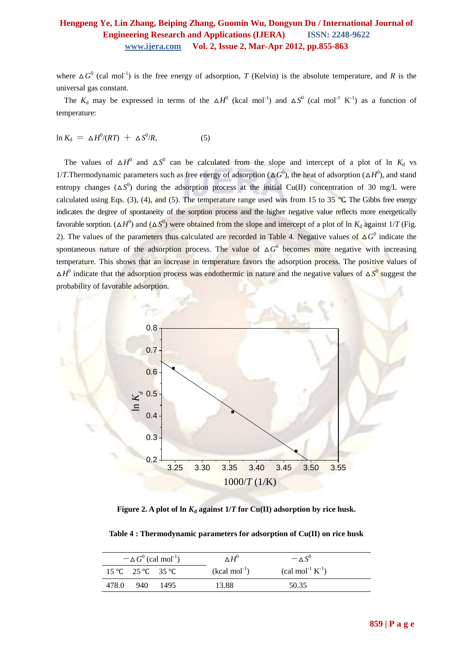where  $\Delta G^0$  (cal mol<sup>-1</sup>) is the free energy of adsorption, *T* (Kelvin) is the absolute temperature, and *R* is the universal gas constant.

The  $K_d$  may be expressed in terms of the  $\Delta H^0$  (kcal mol<sup>-1</sup>) and  $\Delta S^0$  (cal mol<sup>-1</sup> K<sup>-1</sup>) as a function of temperature:

$$
\ln K_{\rm d} = \Delta H^0 / (RT) + \Delta S^0 / R, \tag{5}
$$

The values of  $\Delta H^0$  and  $\Delta S^0$  can be calculated from the slope and intercept of a plot of ln  $K_d$  vs 1/*T*.Thermodynamic parameters such as free energy of adsorption ( $\Delta G^0$ ), the heat of adsorption ( $\Delta H^0$ ), and stand entropy changes  $(\Delta S^0)$  during the adsorption process at the initial Cu(II) concentration of 30 mg/L were calculated using Eqs. (3), (4), and (5). The temperature range used was from 15 to 35 °C. The Gibbs free energy indicates the degree of spontaneity of the sorption process and the higher negative value reflects more energetically favorable sorption. ( $\Delta H^0$ ) and ( $\Delta S^0$ ) were obtained from the slope and intercept of a plot of ln  $K_d$  against 1/*T* (Fig. 2). The values of the parameters thus calculated are recorded in Table 4. Negative values of  $\Delta G^0$  indicate the spontaneous nature of the adsorption process. The value of  $\Delta G^0$  becomes more negative with increasing temperature. This shows that an increase in temperature favors the adsorption process. The positive values of  $\Delta H^0$  indicate that the adsorption process was endothermic in nature and the negative values of  $\Delta S^0$  suggest the probability of favorable adsorption.



**Figure 2.** A plot of  $\ln K_d$  against  $1/T$  for Cu(II) adsorption by rice husk.

**Table 4 : Thermodynamic parameters for adsorption of Cu(II) on rice husk**

|       |                   | $-\Delta G^0$ (cal mol <sup>-1</sup> ) | $\wedge H^0$   | $-\wedge S^0$                                 |
|-------|-------------------|----------------------------------------|----------------|-----------------------------------------------|
|       | 15 °C 25 °C 35 °C |                                        | $(kcal mol-1)$ | $\text{(cal mol}^{-1} \text{ K}^{-1}\text{)}$ |
| 478.0 | -940              | 1495                                   | 13.88          | 50.35                                         |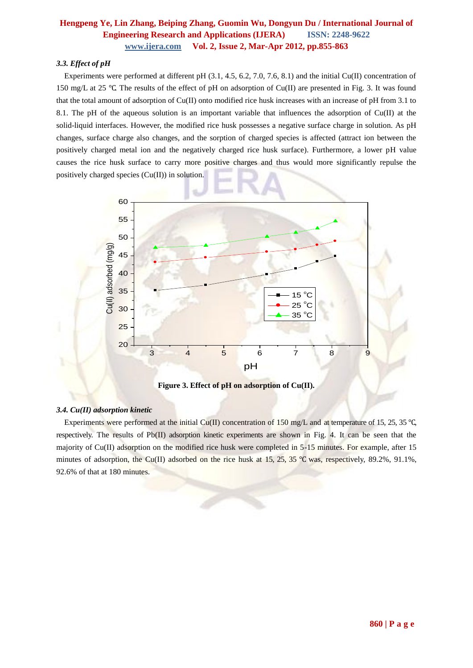### *3.3. Effect of pH*

Experiments were performed at different pH (3.1, 4.5, 6.2, 7.0, 7.6, 8.1) and the initial Cu(II) concentration of 150 mg/L at 25 ℃. The results of the effect of pH on adsorption of Cu(II) are presented in Fig. 3. It was found that the total amount of adsorption of Cu(II) onto modified rice husk increases with an increase of pH from 3.1 to 8.1. The pH of the aqueous solution is an important variable that influences the adsorption of Cu(II) at the solid-liquid interfaces. However, the modified rice husk possesses a negative surface charge in solution. As pH changes, surface charge also changes, and the sorption of charged species is affected (attract ion between the positively charged metal ion and the negatively charged rice husk surface). Furthermore, a lower pH value causes the rice husk surface to carry more positive charges and thus would more significantly repulse the positively charged species (Cu(II)) in solution.



**Figure 3. Effect of pH on adsorption of Cu(II).**

## *3.4. Cu(II) adsorption kinetic*

Experiments were performed at the initial Cu(II) concentration of 150 mg/L and at temperature of 15, 25, 35 ℃, respectively. The results of Pb(II) adsorption kinetic experiments are shown in Fig. 4. It can be seen that the majority of Cu(II) adsorption on the modified rice husk were completed in 5-15 minutes. For example, after 15 minutes of adsorption, the Cu(II) adsorbed on the rice husk at 15, 25, 35 °C was, respectively, 89.2%, 91.1%, 92.6% of that at 180 minutes.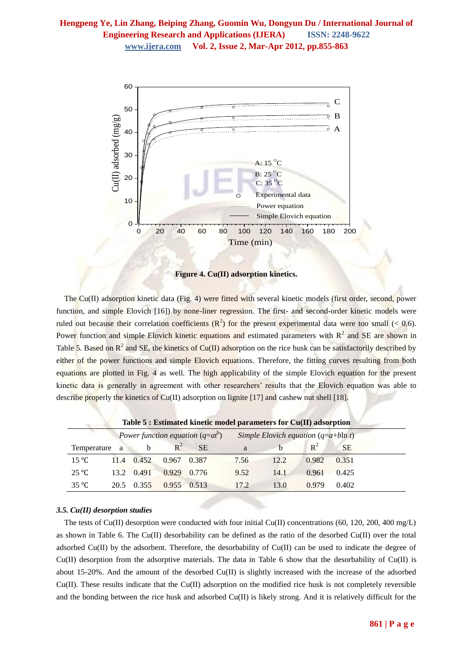

**Figure 4. Cu(II) adsorption kinetics.**

The Cu(II) adsorption kinetic data (Fig. 4) were fitted with several kinetic models (first order, second, power function, and simple Elovich [16]) by none-liner regression. The first- and second-order kinetic models were ruled out because their correlation coefficients  $(R^2)$  for the present experimental data were too small (< 0.6). Power function and simple Elovich kinetic equations and estimated parameters with  $R^2$  and SE are shown in Table 5. Based on  $R^2$  and SE, the kinetics of Cu(II) adsorption on the rice husk can be satisfactorily described by either of the power functions and simple Elovich equations. Therefore, the fitting curves resulting from both equations are plotted in Fig. 4 as well. The high applicability of the simple Elovich equation for the present kinetic data is generally in agreement with other researchers' results that the Elovich equation was able to describe properly the kinetics of Cu(II) adsorption on lignite [17] and cashew nut shell [18].

| Table $5:$ Estimated kinetic model parameters for $Cu(II)$ adsorption |      |       |                                    |           |      |                                        |       |           |  |
|-----------------------------------------------------------------------|------|-------|------------------------------------|-----------|------|----------------------------------------|-------|-----------|--|
|                                                                       |      |       | Power function equation $(q=at^b)$ |           |      | Simple Elovich equation $(q=a+b\ln t)$ |       |           |  |
| Temperature a                                                         |      | b     | $R^2$                              | <b>SE</b> | a    |                                        | $R^2$ | <b>SE</b> |  |
| $15^{\circ}C$                                                         | 11.4 | 0.452 | 0.967                              | 0.387     | 7.56 | 12.2                                   | 0.982 | 0.351     |  |
| $25^{\circ}C$                                                         | 13.2 | 0.491 | 0.929                              | 0.776     | 9.52 | 14.1                                   | 0.961 | 0.425     |  |
| 35 °C                                                                 | 20.5 | 0.355 | 0.955                              | 0.513     | 17.2 | 13.0                                   | 0.979 | 0.402     |  |

#### *3.5. Cu(II) desorption studies*

The tests of Cu(II) desorption were conducted with four initial Cu(II) concentrations (60, 120, 200, 400 mg/L) as shown in Table 6. The Cu(II) desorbability can be defined as the ratio of the desorbed Cu(II) over the total adsorbed Cu(II) by the adsorbent. Therefore, the desorbability of Cu(II) can be used to indicate the degree of Cu(II) desorption from the adsorptive materials. The data in Table 6 show that the desorbability of Cu(II) is about 15-20%. And the amount of the desorbed Cu(II) is slightly increased with the increase of the adsorbed Cu(II). These results indicate that the Cu(II) adsorption on the modified rice husk is not completely reversible and the bonding between the rice husk and adsorbed Cu(II) is likely strong. And it is relatively difficult for the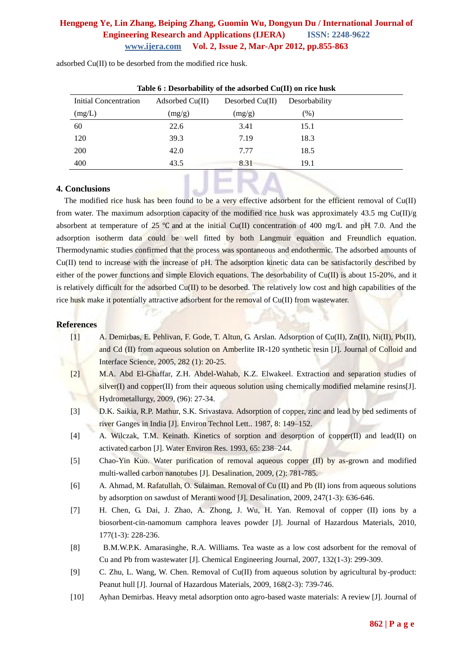| Table $6:$ Desorbability of the adsorbed $Cu(II)$ on rice husk |                   |                   |               |  |  |  |  |  |
|----------------------------------------------------------------|-------------------|-------------------|---------------|--|--|--|--|--|
| Initial Concentration                                          | Adsorbed $Cu(II)$ | Desorbed $Cu(II)$ | Desorbability |  |  |  |  |  |
| (mg/L)                                                         | (mg/g)            | (mg/g)            | (%)           |  |  |  |  |  |
| 60                                                             | 22.6              | 3.41              | 15.1          |  |  |  |  |  |
| 120                                                            | 39.3              | 7.19              | 18.3          |  |  |  |  |  |
| 200                                                            | 42.0              | 7.77              | 18.5          |  |  |  |  |  |
| 400                                                            | 43.5              | 8.31              | 19.1          |  |  |  |  |  |
|                                                                |                   |                   |               |  |  |  |  |  |

adsorbed Cu(II) to be desorbed from the modified rice husk.

### **4. Conclusions**

The modified rice husk has been found to be a very effective adsorbent for the efficient removal of Cu(II) from water. The maximum adsorption capacity of the modified rice husk was approximately 43.5 mg Cu(II)/g absorbent at temperature of 25 ℃ and at the initial Cu(II) concentration of 400 mg/L and pH 7.0. And the adsorption isotherm data could be well fitted by both Langmuir equation and Freundlich equation. Thermodynamic studies confirmed that the process was spontaneous and endothermic. The adsorbed amounts of Cu(II) tend to increase with the increase of pH. The adsorption kinetic data can be satisfactorily described by either of the power functions and simple Elovich equations. The desorbability of Cu(II) is about 15-20%, and it is relatively difficult for the adsorbed  $Cu(II)$  to be desorbed. The relatively low cost and high capabilities of the rice husk make it potentially attractive adsorbent for the removal of Cu(II) from wastewater.

### **References**

- [1] A. Demirbas, E. Pehlivan, F. Gode, T. Altun, G. Arslan. Adsorption of Cu(II), Zn(II), Ni(II), Pb(II), and Cd (II) from aqueous solution on Amberlite IR-120 synthetic resin [J]. Journal of Colloid and Interface Science, 2005, 282 (1): 20-25.
- [2] M.A. Abd El-Ghaffar, Z.H. Abdel-Wahab, K.Z. Elwakeel. Extraction and separation studies of  $silver(I)$  and copper(II) from their aqueous solution using chemically modified melamine resins[J]. Hydrometallurgy, 2009, (96): 27-34.
- [3] D.K. Saikia, R.P. Mathur, S.K. Srivastava. Adsorption of copper, zinc and lead by bed sediments of river Ganges in India [J]. Environ Technol Lett.. 1987, 8: 149–152.
- [4] A. Wilczak, T.M. Keinath. Kinetics of sorption and desorption of copper(II) and lead(II) on activated carbon [J]. Water Environ Res. 1993, 65: 238–244.
- [5] Chao-Yin Kuo. Water purification of removal aqueous copper (II) by as-grown and modified multi-walled carbon nanotubes [J]. Desalination, 2009, (2): 781-785.
- [6] A. Ahmad, M. Rafatullah, O. Sulaiman. Removal of Cu (II) and Pb (II) ions from aqueous solutions by adsorption on sawdust of Meranti wood [J]. Desalination, 2009, 247(1-3): 636-646.
- [7] H. Chen, G. Dai, J. Zhao, A. Zhong, J. Wu, H. Yan. Removal of copper (II) ions by a biosorbent-cin-namomum camphora leaves powder [J]. Journal of Hazardous Materials, 2010, 177(1-3): 228-236.
- [8] B.M.W.P.K. Amarasinghe, R.A. Williams. Tea waste as a low cost adsorbent for the removal of Cu and Pb from wastewater [J]. Chemical Engineering Journal, 2007, 132(1-3): 299-309.
- [9] C. Zhu, L. Wang, W. Chen. Removal of Cu(II) from aqueous solution by agricultural by-product: Peanut hull [J]. Journal of Hazardous Materials, 2009, 168(2-3): 739-746.
- [10] Ayhan Demirbas. Heavy metal adsorption onto agro-based waste materials: A review [J]. Journal of